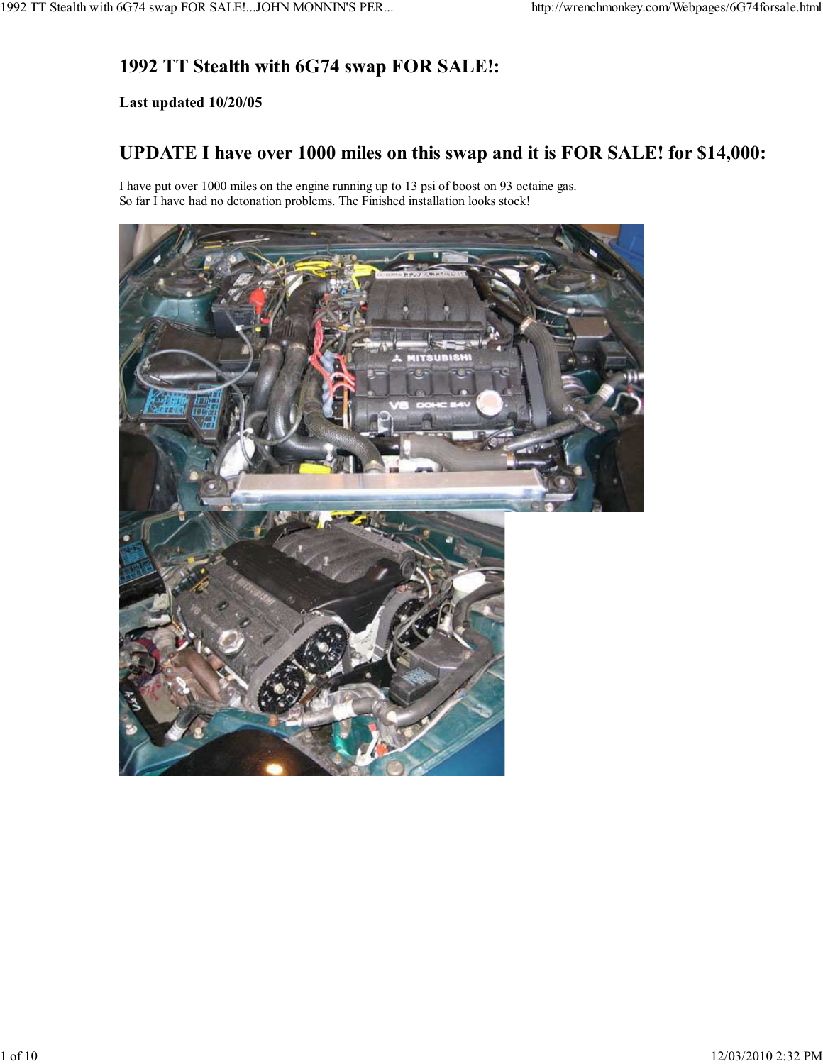# **1992 TT Stealth with 6G74 swap FOR SALE!:**

### **Last updated 10/20/05**

### **UPDATE I have over 1000 miles on this swap and it is FOR SALE! for \$14,000:**

I have put over 1000 miles on the engine running up to 13 psi of boost on 93 octaine gas. So far I have had no detonation problems. The Finished installation looks stock!

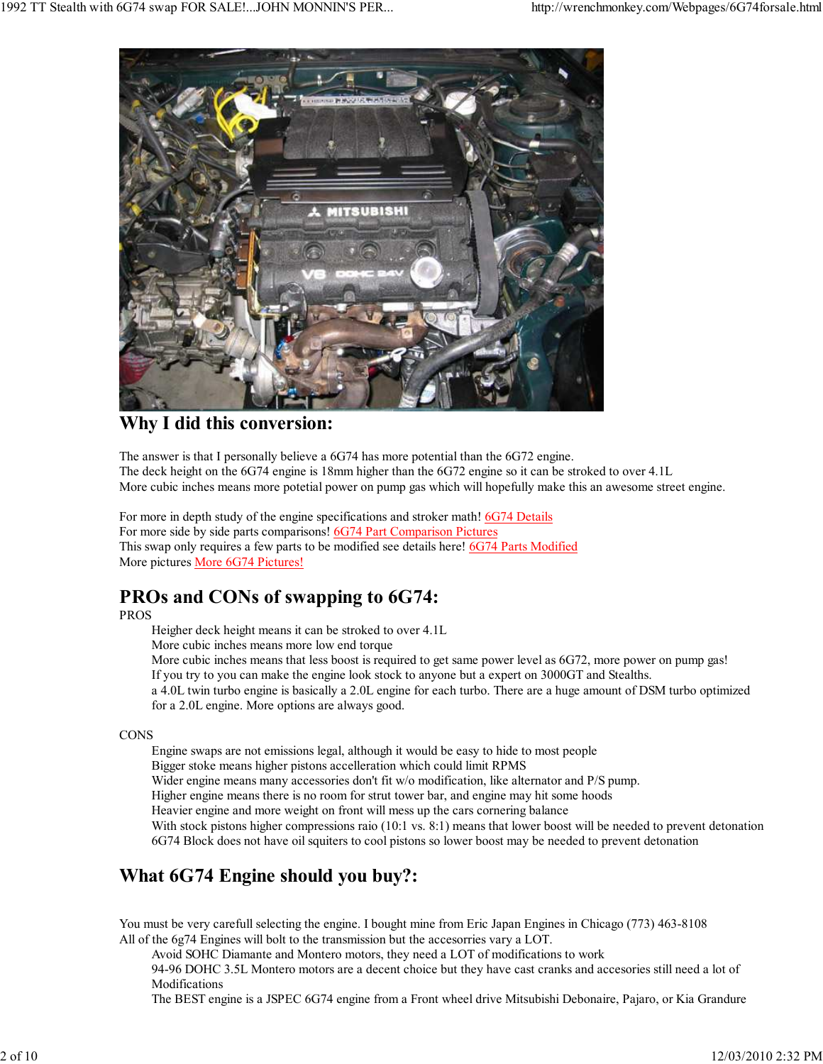

### **Why I did this conversion:**

The answer is that I personally believe a 6G74 has more potential than the 6G72 engine. The deck height on the 6G74 engine is 18mm higher than the 6G72 engine so it can be stroked to over 4.1L More cubic inches means more potetial power on pump gas which will hopefully make this an awesome street engine.

For more in depth study of the engine specifications and stroker math! 6G74 Details For more side by side parts comparisons! 6G74 Part Comparison Pictures This swap only requires a few parts to be modified see details here! 6G74 Parts Modified More pictures More 6G74 Pictures!

## **PROs and CONs of swapping to 6G74:**

PROS

1. Heigher deck height means it can be stroked to over 4.1L

More cubic inches means more low end torque

3. More cubic inches means that less boost is required to get same power level as 6G72, more power on pump gas!

If you try to you can make the engine look stock to anyone but a expert on 3000GT and Stealths.

a 4.0L twin turbo engine is basically a 2.0L engine for each turbo. There are a huge amount of DSM turbo optimized for a 2.0L engine. More options are always good.

#### **CONS**

1. Engine swaps are not emissions legal, although it would be easy to hide to most people

2. Bigger stoke means higher pistons accelleration which could limit RPMS

3. Wider engine means many accessories don't fit w/o modification, like alternator and P/S pump.

Higher engine means there is no room for strut tower bar, and engine may hit some hoods

5. Heavier engine and more weight on front will mess up the cars cornering balance

With stock pistons higher compressions raio (10:1 vs. 8:1) means that lower boost will be needed to prevent detonation 7. 6G74 Block does not have oil squiters to cool pistons so lower boost may be needed to prevent detonation

## **What 6G74 Engine should you buy?:**

You must be very carefull selecting the engine. I bought mine from Eric Japan Engines in Chicago (773) 463-8108 All of the 6g74 Engines will bolt to the transmission but the accesorries vary a LOT.

Avoid SOHC Diamante and Montero motors, they need a LOT of modifications to work

94-96 DOHC 3.5L Montero motors are a decent choice but they have cast cranks and accesories still need a lot of Modifications

3. The BEST engine is a JSPEC 6G74 engine from a Front wheel drive Mitsubishi Debonaire, Pajaro, or Kia Grandure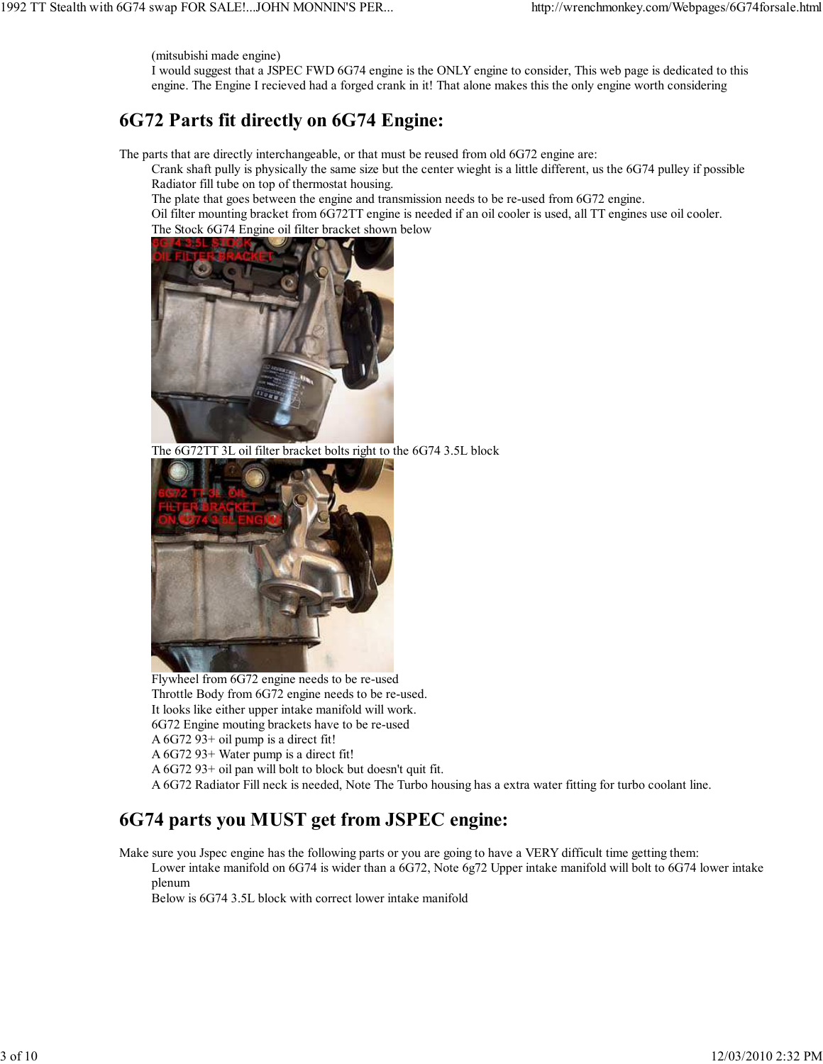(mitsubishi made engine)

I would suggest that a JSPEC FWD 6G74 engine is the ONLY engine to consider, This web page is dedicated to this engine. The Engine I recieved had a forged crank in it! That alone makes this the only engine worth considering

### **6G72 Parts fit directly on 6G74 Engine:**

The parts that are directly interchangeable, or that must be reused from old 6G72 engine are:

1. Crank shaft pully is physically the same size but the center wieght is a little different, us the 6G74 pulley if possible Radiator fill tube on top of thermostat housing.

The plate that goes between the engine and transmission needs to be re-used from 6G72 engine.

Oil filter mounting bracket from 6G72TT engine is needed if an oil cooler is used, all TT engines use oil cooler. The Stock 6G74 Engine oil filter bracket shown below



The 6G72TT 3L oil filter bracket bolts right to the 6G74 3.5L block



Flywheel from 6G72 engine needs to be re-used Throttle Body from 6G72 engine needs to be re-used. It looks like either upper intake manifold will work. 8. 6G72 Engine mouting brackets have to be re-used 9. A 6G72 93+ oil pump is a direct fit! 10. A 6G72 93+ Water pump is a direct fit! A 6G72 93+ oil pan will bolt to block but doesn't quit fit.

12. A 6G72 Radiator Fill neck is needed, Note The Turbo housing has a extra water fitting for turbo coolant line.

## **6G74 parts you MUST get from JSPEC engine:**

Make sure you Jspec engine has the following parts or you are going to have a VERY difficult time getting them:

Lower intake manifold on 6G74 is wider than a 6G72, Note 6g72 Upper intake manifold will bolt to 6G74 lower intake plenum

Below is 6G74 3.5L block with correct lower intake manifold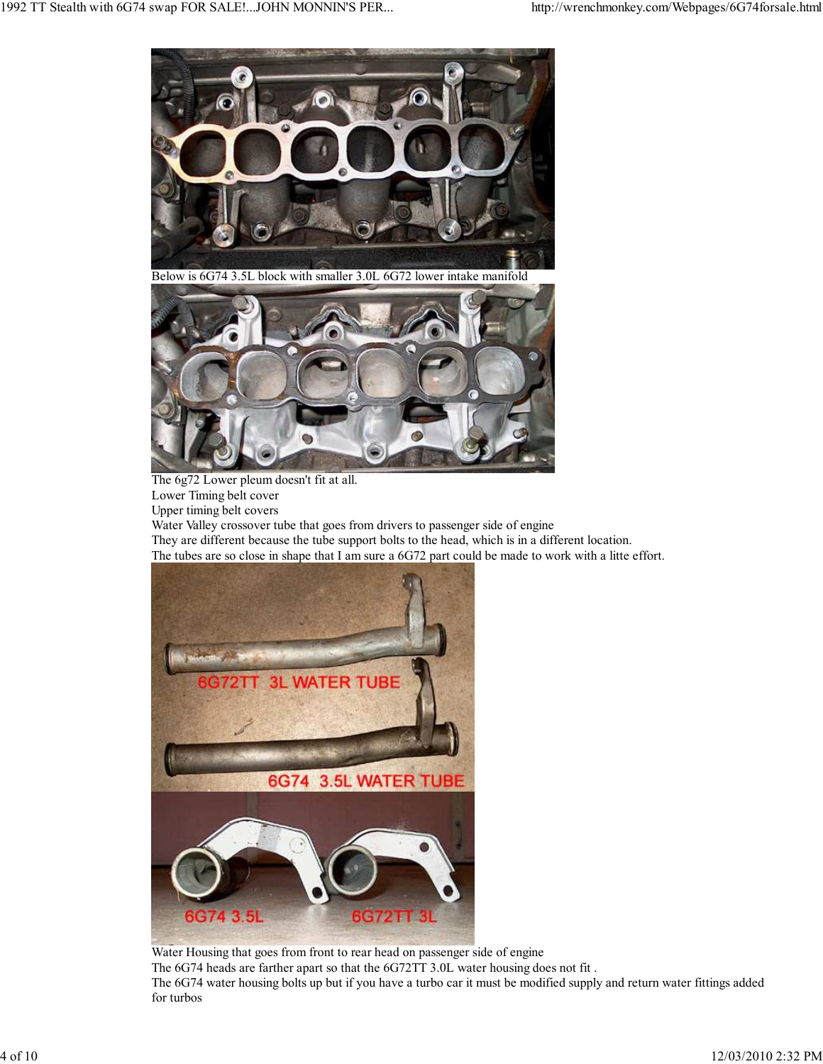

Below is 6G74 3.5L block with smaller 3.0L 6G72 lower intake manifold



The 6g72 Lower pleum doesn't fit at all. Lower Timing belt cover Upper timing belt covers Water Valley crossover tube that goes from drivers to passenger side of engine They are different because the tube support bolts to the head, which is in a different location. The tubes are so close in shape that I am sure a 6G72 part could be made to work with a litte effort.



Water Housing that goes from front to rear head on passenger side of engine The 6G74 heads are farther apart so that the 6G72TT 3.0L water housing does not fit . The 6G74 water housing bolts up but if you have a turbo car it must be modified supply and return water fittings added for turbos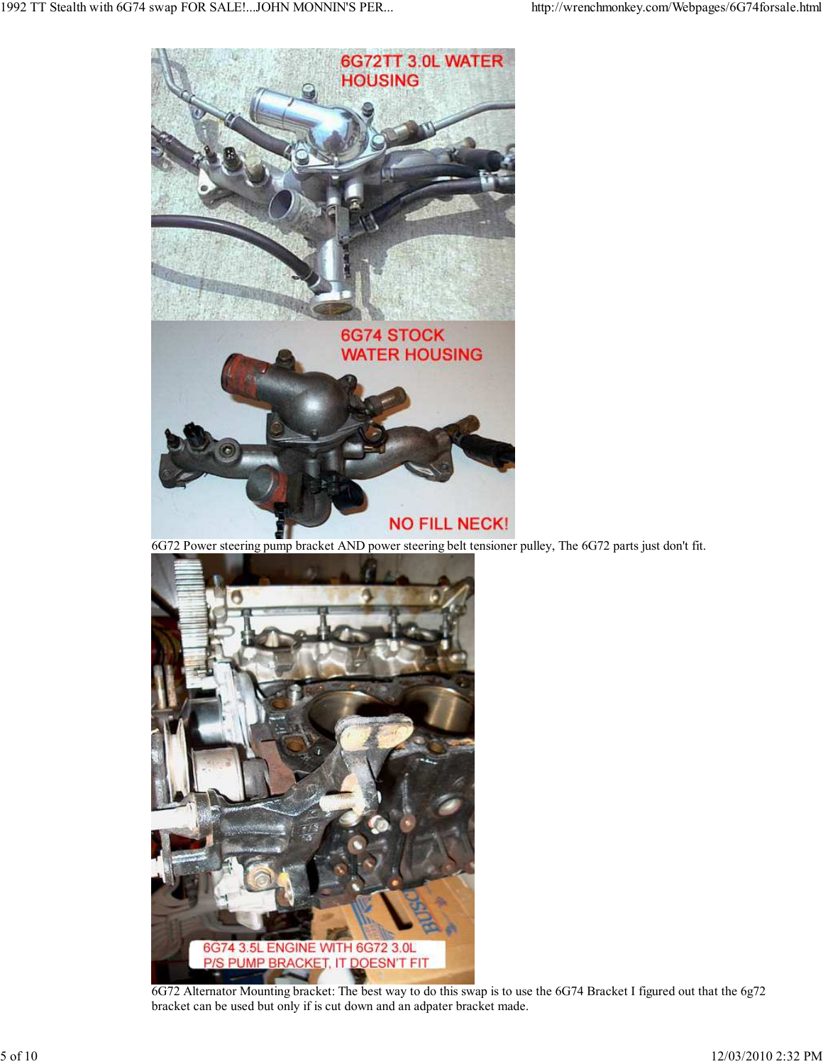

6. 6G72 Power steering pump bracket AND power steering belt tensioner pulley, The 6G72 parts just don't fit.



6G72 Alternator Mounting bracket: The best way to do this swap is to use the 6G74 Bracket I figured out that the 6g72 bracket can be used but only if is cut down and an adpater bracket made.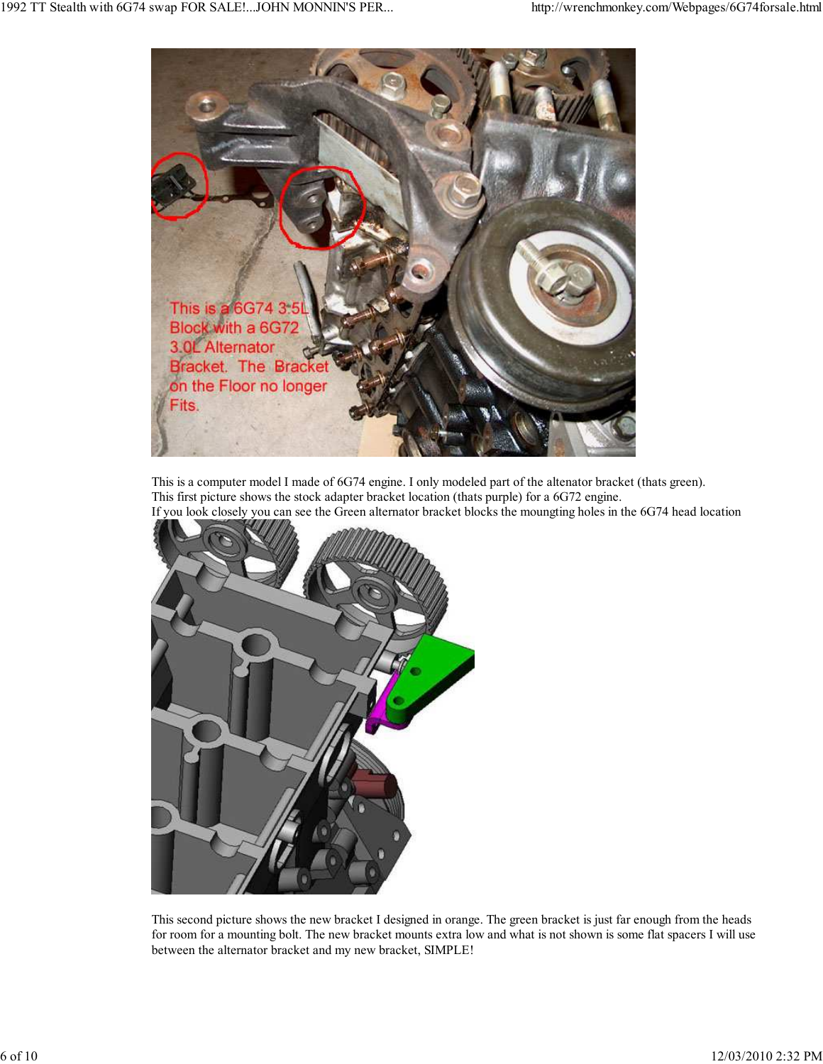

This is a computer model I made of 6G74 engine. I only modeled part of the altenator bracket (thats green). This first picture shows the stock adapter bracket location (thats purple) for a 6G72 engine. If you look closely you can see the Green alternator bracket blocks the moungting holes in the 6G74 head location



This second picture shows the new bracket I designed in orange. The green bracket is just far enough from the heads for room for a mounting bolt. The new bracket mounts extra low and what is not shown is some flat spacers I will use between the alternator bracket and my new bracket, SIMPLE!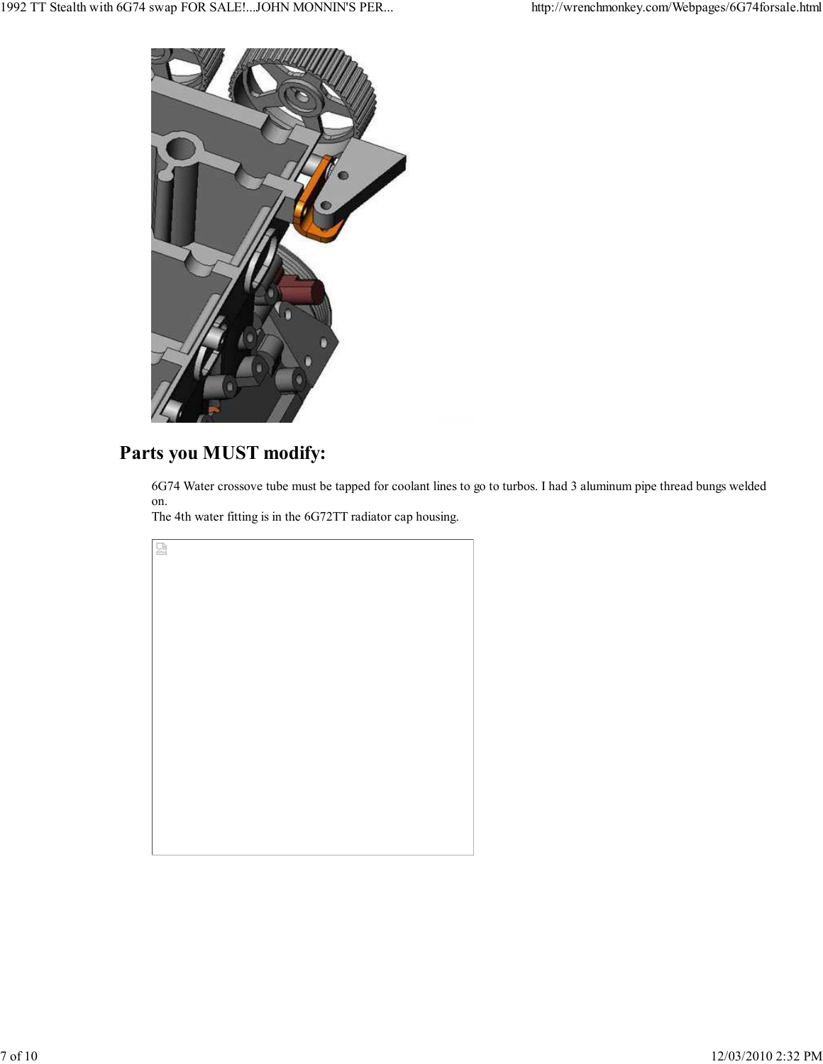

# **Parts you MUST modify:**

6G74 Water crossove tube must be tapped for coolant lines to go to turbos. I had 3 aluminum pipe thread bungs welded on.

The 4th water fitting is in the 6G72TT radiator cap housing.

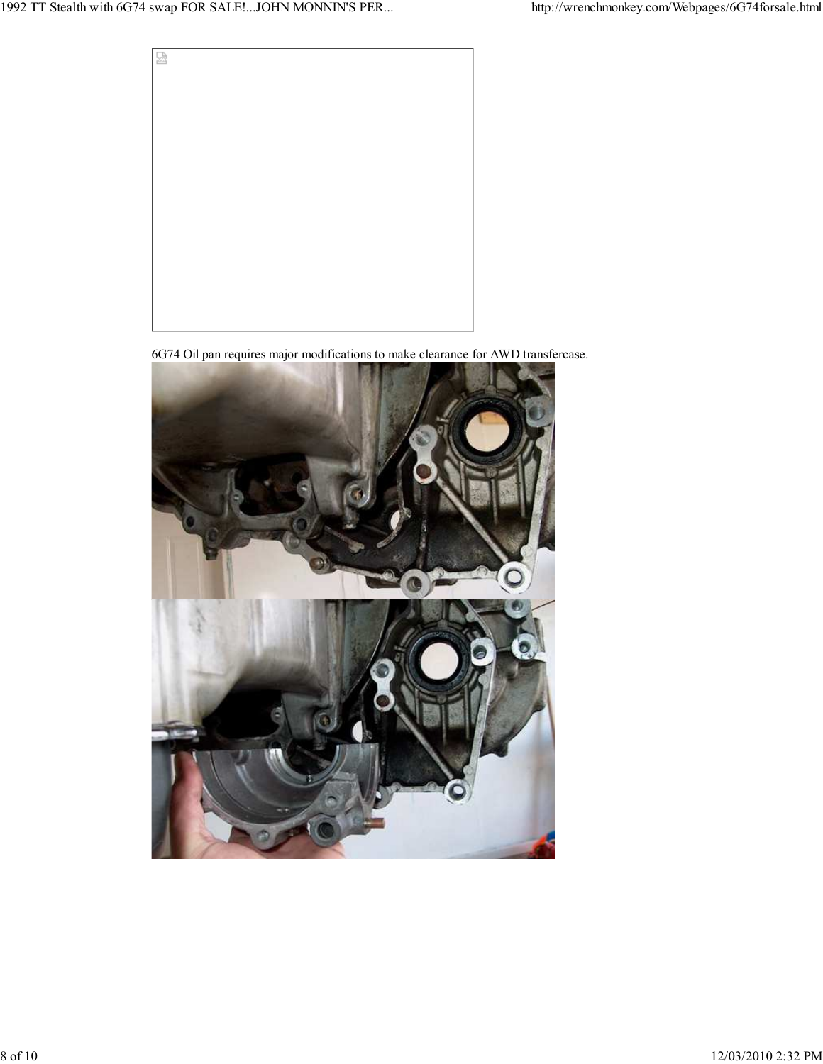

2. 6G74 Oil pan requires major modifications to make clearance for AWD transfercase.

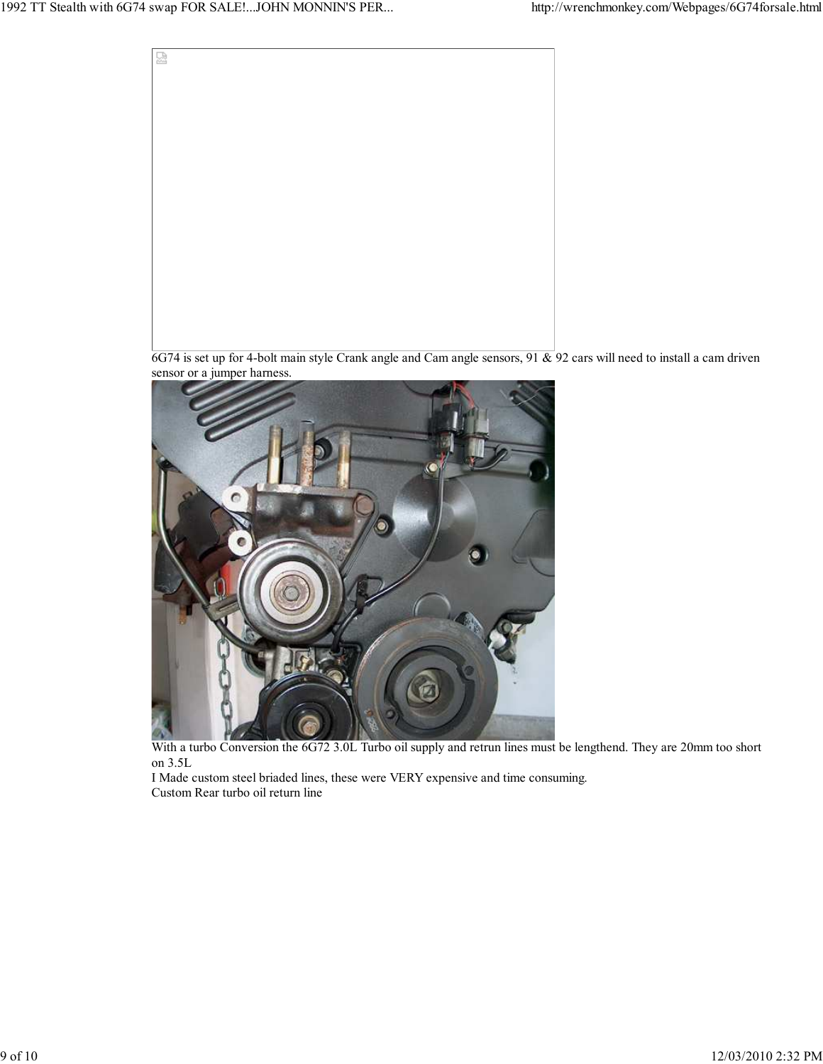

6G74 is set up for 4-bolt main style Crank angle and Cam angle sensors,  $91 \& 92$  cars will need to install a cam driven sensor or a jumper harness.



With a turbo Conversion the 6G72 3.0L Turbo oil supply and retrun lines must be lengthend. They are 20mm too short on 3.5L

I Made custom steel briaded lines, these were VERY expensive and time consuming. Custom Rear turbo oil return line